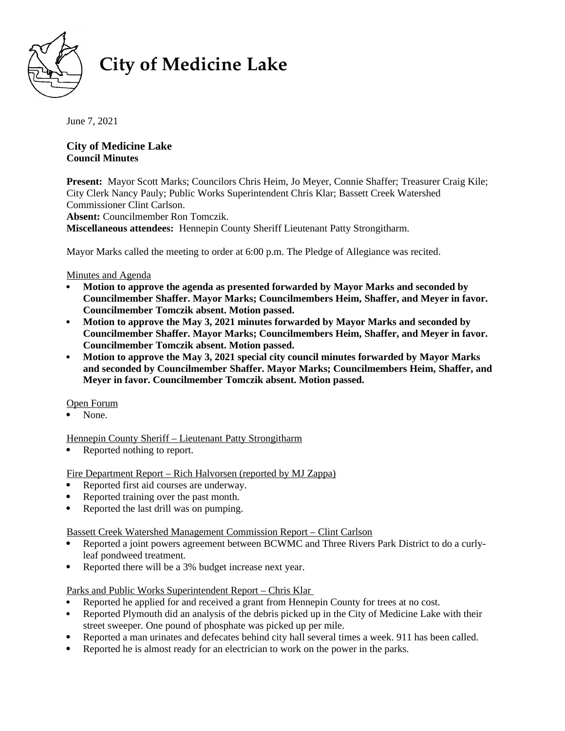

# **City of Medicine Lake**

June 7, 2021

**City of Medicine Lake Council Minutes** 

**Present:** Mayor Scott Marks; Councilors Chris Heim, Jo Meyer, Connie Shaffer; Treasurer Craig Kile; City Clerk Nancy Pauly; Public Works Superintendent Chris Klar; Bassett Creek Watershed Commissioner Clint Carlson.

**Absent:** Councilmember Ron Tomczik.

**Miscellaneous attendees:** Hennepin County Sheriff Lieutenant Patty Strongitharm.

Mayor Marks called the meeting to order at 6:00 p.m. The Pledge of Allegiance was recited.

## Minutes and Agenda

- **Motion to approve the agenda as presented forwarded by Mayor Marks and seconded by Councilmember Shaffer. Mayor Marks; Councilmembers Heim, Shaffer, and Meyer in favor. Councilmember Tomczik absent. Motion passed.**
- **Motion to approve the May 3, 2021 minutes forwarded by Mayor Marks and seconded by Councilmember Shaffer. Mayor Marks; Councilmembers Heim, Shaffer, and Meyer in favor. Councilmember Tomczik absent. Motion passed.**
- **Motion to approve the May 3, 2021 special city council minutes forwarded by Mayor Marks and seconded by Councilmember Shaffer. Mayor Marks; Councilmembers Heim, Shaffer, and Meyer in favor. Councilmember Tomczik absent. Motion passed.**

Open Forum

None.

Hennepin County Sheriff – Lieutenant Patty Strongitharm

• Reported nothing to report.

Fire Department Report – Rich Halvorsen (reported by MJ Zappa)

- Reported first aid courses are underway.
- Reported training over the past month.
- Reported the last drill was on pumping.

Bassett Creek Watershed Management Commission Report – Clint Carlson

- Reported a joint powers agreement between BCWMC and Three Rivers Park District to do a curlyleaf pondweed treatment.
- Reported there will be a 3% budget increase next year.

Parks and Public Works Superintendent Report – Chris Klar

- Reported he applied for and received a grant from Hennepin County for trees at no cost.
- Reported Plymouth did an analysis of the debris picked up in the City of Medicine Lake with their street sweeper. One pound of phosphate was picked up per mile.
- Reported a man urinates and defecates behind city hall several times a week. 911 has been called.
- Reported he is almost ready for an electrician to work on the power in the parks.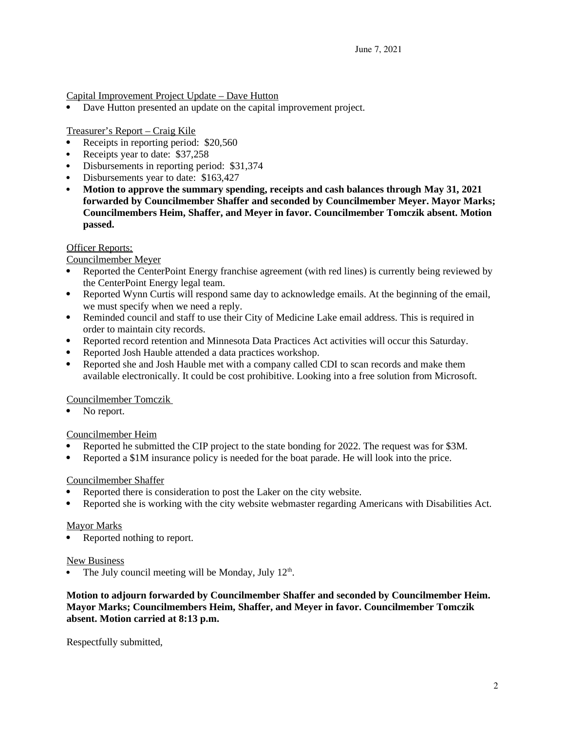Capital Improvement Project Update – Dave Hutton

Dave Hutton presented an update on the capital improvement project.

Treasurer's Report – Craig Kile

- Receipts in reporting period: \$20,560
- Receipts year to date: \$37,258
- Disbursements in reporting period: \$31,374
- Disbursements year to date: \$163,427
- **Motion to approve the summary spending, receipts and cash balances through May 31, 2021 forwarded by Councilmember Shaffer and seconded by Councilmember Meyer. Mayor Marks; Councilmembers Heim, Shaffer, and Meyer in favor. Councilmember Tomczik absent. Motion passed.**

## Officer Reports:

Councilmember Meyer

- Reported the CenterPoint Energy franchise agreement (with red lines) is currently being reviewed by the CenterPoint Energy legal team.
- Reported Wynn Curtis will respond same day to acknowledge emails. At the beginning of the email, we must specify when we need a reply.
- Reminded council and staff to use their City of Medicine Lake email address. This is required in order to maintain city records.
- Reported record retention and Minnesota Data Practices Act activities will occur this Saturday.
- Reported Josh Hauble attended a data practices workshop.
- Reported she and Josh Hauble met with a company called CDI to scan records and make them available electronically. It could be cost prohibitive. Looking into a free solution from Microsoft.

Councilmember Tomczik

No report.

#### Councilmember Heim

- Reported he submitted the CIP project to the state bonding for 2022. The request was for \$3M.
- Reported a \$1M insurance policy is needed for the boat parade. He will look into the price.

#### Councilmember Shaffer

- Reported there is consideration to post the Laker on the city website.
- Reported she is working with the city website webmaster regarding Americans with Disabilities Act.

### Mayor Marks

Reported nothing to report.

#### New Business

• The July council meeting will be Monday, July  $12<sup>th</sup>$ .

**Motion to adjourn forwarded by Councilmember Shaffer and seconded by Councilmember Heim. Mayor Marks; Councilmembers Heim, Shaffer, and Meyer in favor. Councilmember Tomczik absent. Motion carried at 8:13 p.m.**

Respectfully submitted,